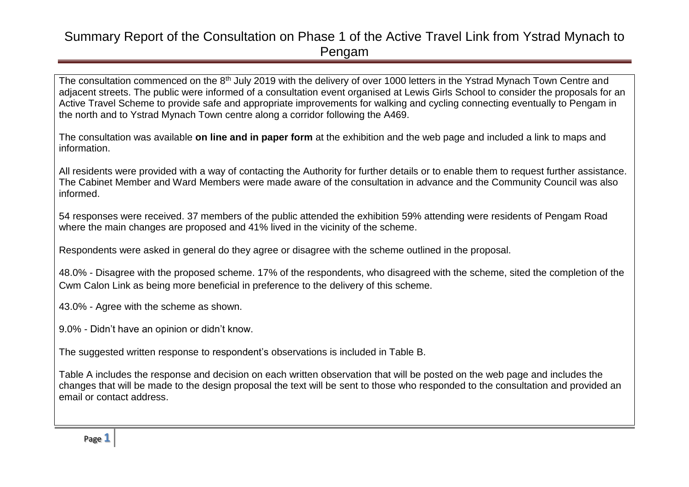The consultation commenced on the 8<sup>th</sup> July 2019 with the delivery of over 1000 letters in the Ystrad Mynach Town Centre and adjacent streets. The public were informed of a consultation event organised at Lewis Girls School to consider the proposals for an Active Travel Scheme to provide safe and appropriate improvements for walking and cycling connecting eventually to Pengam in the north and to Ystrad Mynach Town centre along a corridor following the A469.

The consultation was available **on line and in paper form** at the exhibition and the web page and included a link to maps and information.

All residents were provided with a way of contacting the Authority for further details or to enable them to request further assistance. The Cabinet Member and Ward Members were made aware of the consultation in advance and the Community Council was also informed.

54 responses were received. 37 members of the public attended the exhibition 59% attending were residents of Pengam Road where the main changes are proposed and 41% lived in the vicinity of the scheme.

Respondents were asked in general do they agree or disagree with the scheme outlined in the proposal.

48.0% - Disagree with the proposed scheme. 17% of the respondents, who disagreed with the scheme, sited the completion of the Cwm Calon Link as being more beneficial in preference to the delivery of this scheme.

43.0% - Agree with the scheme as shown.

9.0% - Didn't have an opinion or didn't know.

The suggested written response to respondent's observations is included in Table B.

Table A includes the response and decision on each written observation that will be posted on the web page and includes the changes that will be made to the design proposal the text will be sent to those who responded to the consultation and provided an email or contact address.

Page **1**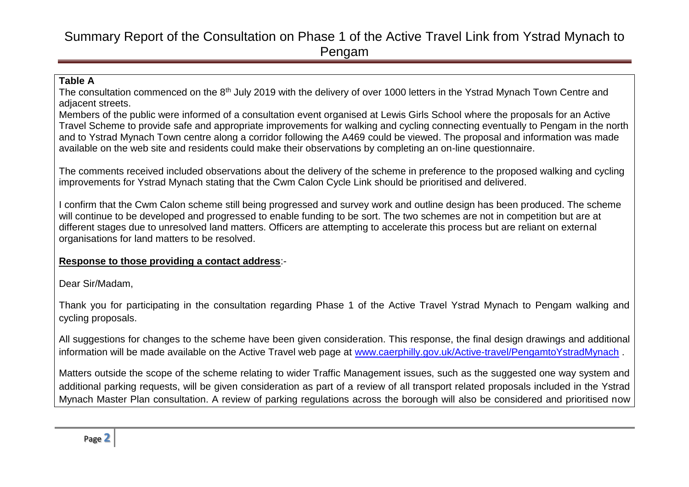#### **Table A**

The consultation commenced on the 8<sup>th</sup> July 2019 with the delivery of over 1000 letters in the Ystrad Mynach Town Centre and adjacent streets.

Members of the public were informed of a consultation event organised at Lewis Girls School where the proposals for an Active Travel Scheme to provide safe and appropriate improvements for walking and cycling connecting eventually to Pengam in the north and to Ystrad Mynach Town centre along a corridor following the A469 could be viewed. The proposal and information was made available on the web site and residents could make their observations by completing an on-line questionnaire.

The comments received included observations about the delivery of the scheme in preference to the proposed walking and cycling improvements for Ystrad Mynach stating that the Cwm Calon Cycle Link should be prioritised and delivered.

I confirm that the Cwm Calon scheme still being progressed and survey work and outline design has been produced. The scheme will continue to be developed and progressed to enable funding to be sort. The two schemes are not in competition but are at different stages due to unresolved land matters. Officers are attempting to accelerate this process but are reliant on external organisations for land matters to be resolved.

#### **Response to those providing a contact address**:-

Dear Sir/Madam,

Thank you for participating in the consultation regarding Phase 1 of the Active Travel Ystrad Mynach to Pengam walking and cycling proposals.

All suggestions for changes to the scheme have been given consideration. This response, the final design drawings and additional information will be made available on the Active Travel web page at [www.caerphilly.gov.uk/Active-travel/PengamtoYstradMynach](http://www.caerphilly.gov.uk/Active-travel/PengamtoYstradMynach).

Matters outside the scope of the scheme relating to wider Traffic Management issues, such as the suggested one way system and additional parking requests, will be given consideration as part of a review of all transport related proposals included in the Ystrad Mynach Master Plan consultation. A review of parking regulations across the borough will also be considered and prioritised now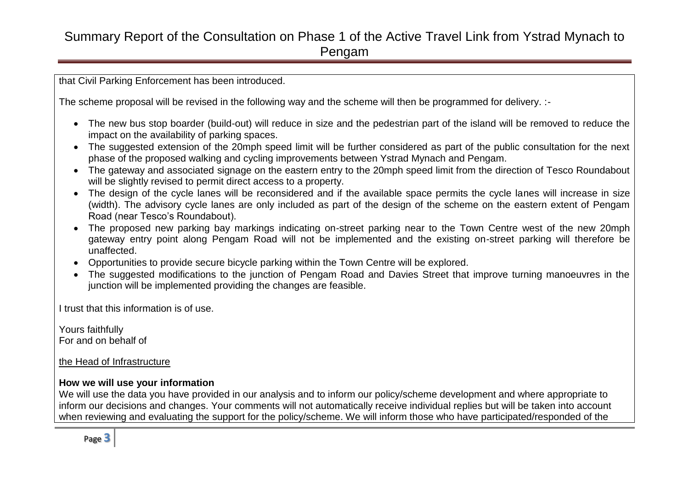that Civil Parking Enforcement has been introduced.

The scheme proposal will be revised in the following way and the scheme will then be programmed for delivery. :-

- The new bus stop boarder (build-out) will reduce in size and the pedestrian part of the island will be removed to reduce the impact on the availability of parking spaces.
- The suggested extension of the 20mph speed limit will be further considered as part of the public consultation for the next phase of the proposed walking and cycling improvements between Ystrad Mynach and Pengam.
- The gateway and associated signage on the eastern entry to the 20mph speed limit from the direction of Tesco Roundabout will be slightly revised to permit direct access to a property.
- The design of the cycle lanes will be reconsidered and if the available space permits the cycle lanes will increase in size (width). The advisory cycle lanes are only included as part of the design of the scheme on the eastern extent of Pengam Road (near Tesco's Roundabout).
- The proposed new parking bay markings indicating on-street parking near to the Town Centre west of the new 20mph gateway entry point along Pengam Road will not be implemented and the existing on-street parking will therefore be unaffected.
- Opportunities to provide secure bicycle parking within the Town Centre will be explored.
- The suggested modifications to the junction of Pengam Road and Davies Street that improve turning manoeuvres in the junction will be implemented providing the changes are feasible.

I trust that this information is of use.

Yours faithfully For and on behalf of

the Head of Infrastructure

#### **How we will use your information**

We will use the data you have provided in our analysis and to inform our policy/scheme development and where appropriate to inform our decisions and changes. Your comments will not automatically receive individual replies but will be taken into account when reviewing and evaluating the support for the policy/scheme. We will inform those who have participated/responded of the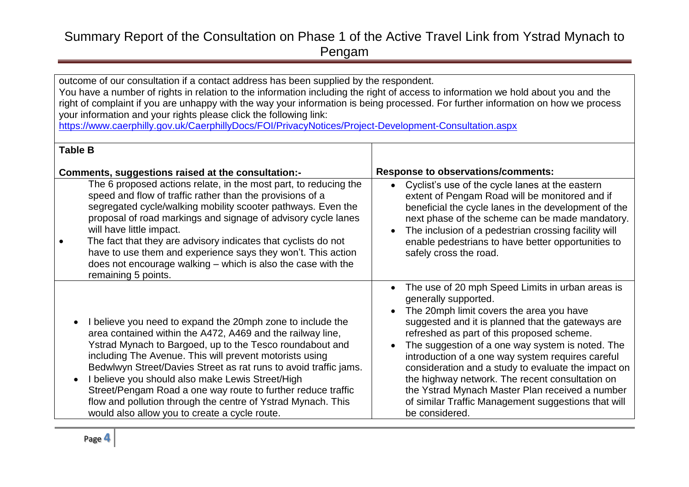outcome of our consultation if a contact address has been supplied by the respondent.

You have a number of rights in relation to the information including the right of access to information we hold about you and the right of complaint if you are unhappy with the way your information is being processed. For further information on how we process your information and your rights please click the following link:

<https://www.caerphilly.gov.uk/CaerphillyDocs/FOI/PrivacyNotices/Project-Development-Consultation.aspx>

| <b>Table B</b>                                                                                                                                                                                                                                                                                                                                                                                                                                                                                                                                           |                                                                                                                                                                                                                                                                                                                                                                                                                                                                                                                                                                                     |
|----------------------------------------------------------------------------------------------------------------------------------------------------------------------------------------------------------------------------------------------------------------------------------------------------------------------------------------------------------------------------------------------------------------------------------------------------------------------------------------------------------------------------------------------------------|-------------------------------------------------------------------------------------------------------------------------------------------------------------------------------------------------------------------------------------------------------------------------------------------------------------------------------------------------------------------------------------------------------------------------------------------------------------------------------------------------------------------------------------------------------------------------------------|
| Comments, suggestions raised at the consultation:-                                                                                                                                                                                                                                                                                                                                                                                                                                                                                                       | <b>Response to observations/comments:</b>                                                                                                                                                                                                                                                                                                                                                                                                                                                                                                                                           |
| The 6 proposed actions relate, in the most part, to reducing the<br>speed and flow of traffic rather than the provisions of a<br>segregated cycle/walking mobility scooter pathways. Even the<br>proposal of road markings and signage of advisory cycle lanes<br>will have little impact.<br>The fact that they are advisory indicates that cyclists do not<br>have to use them and experience says they won't. This action<br>does not encourage walking – which is also the case with the<br>remaining 5 points.                                      | Cyclist's use of the cycle lanes at the eastern<br>$\bullet$<br>extent of Pengam Road will be monitored and if<br>beneficial the cycle lanes in the development of the<br>next phase of the scheme can be made mandatory.<br>The inclusion of a pedestrian crossing facility will<br>enable pedestrians to have better opportunities to<br>safely cross the road.                                                                                                                                                                                                                   |
| I believe you need to expand the 20mph zone to include the<br>area contained within the A472, A469 and the railway line,<br>Ystrad Mynach to Bargoed, up to the Tesco roundabout and<br>including The Avenue. This will prevent motorists using<br>Bedwlwyn Street/Davies Street as rat runs to avoid traffic jams.<br>I believe you should also make Lewis Street/High<br>Street/Pengam Road a one way route to further reduce traffic<br>flow and pollution through the centre of Ystrad Mynach. This<br>would also allow you to create a cycle route. | The use of 20 mph Speed Limits in urban areas is<br>$\bullet$<br>generally supported.<br>The 20mph limit covers the area you have<br>suggested and it is planned that the gateways are<br>refreshed as part of this proposed scheme.<br>The suggestion of a one way system is noted. The<br>introduction of a one way system requires careful<br>consideration and a study to evaluate the impact on<br>the highway network. The recent consultation on<br>the Ystrad Mynach Master Plan received a number<br>of similar Traffic Management suggestions that will<br>be considered. |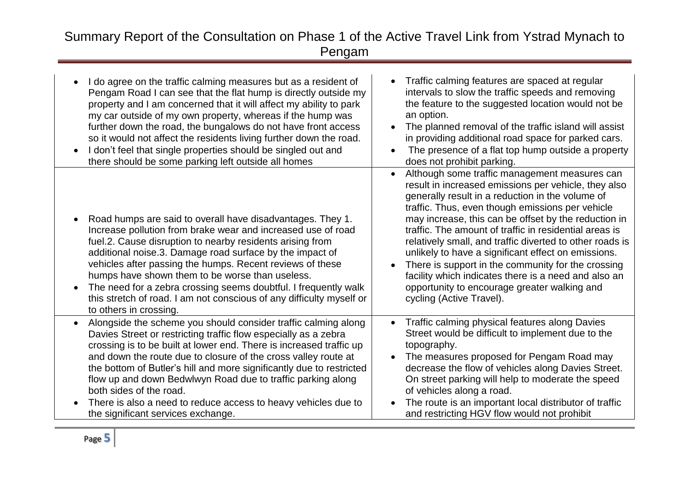| I do agree on the traffic calming measures but as a resident of<br>Pengam Road I can see that the flat hump is directly outside my<br>property and I am concerned that it will affect my ability to park<br>my car outside of my own property, whereas if the hump was<br>further down the road, the bungalows do not have front access<br>so it would not affect the residents living further down the road.<br>I don't feel that single properties should be singled out and<br>there should be some parking left outside all homes                | Traffic calming features are spaced at regular<br>intervals to slow the traffic speeds and removing<br>the feature to the suggested location would not be<br>an option.<br>The planned removal of the traffic island will assist<br>in providing additional road space for parked cars.<br>The presence of a flat top hump outside a property<br>does not prohibit parking.                                                                                                                                                                                                                                                                  |
|------------------------------------------------------------------------------------------------------------------------------------------------------------------------------------------------------------------------------------------------------------------------------------------------------------------------------------------------------------------------------------------------------------------------------------------------------------------------------------------------------------------------------------------------------|----------------------------------------------------------------------------------------------------------------------------------------------------------------------------------------------------------------------------------------------------------------------------------------------------------------------------------------------------------------------------------------------------------------------------------------------------------------------------------------------------------------------------------------------------------------------------------------------------------------------------------------------|
| Road humps are said to overall have disadvantages. They 1.<br>Increase pollution from brake wear and increased use of road<br>fuel.2. Cause disruption to nearby residents arising from<br>additional noise.3. Damage road surface by the impact of<br>vehicles after passing the humps. Recent reviews of these<br>humps have shown them to be worse than useless.<br>The need for a zebra crossing seems doubtful. I frequently walk<br>this stretch of road. I am not conscious of any difficulty myself or<br>to others in crossing.             | Although some traffic management measures can<br>result in increased emissions per vehicle, they also<br>generally result in a reduction in the volume of<br>traffic. Thus, even though emissions per vehicle<br>may increase, this can be offset by the reduction in<br>traffic. The amount of traffic in residential areas is<br>relatively small, and traffic diverted to other roads is<br>unlikely to have a significant effect on emissions.<br>There is support in the community for the crossing<br>facility which indicates there is a need and also an<br>opportunity to encourage greater walking and<br>cycling (Active Travel). |
| Alongside the scheme you should consider traffic calming along<br>Davies Street or restricting traffic flow especially as a zebra<br>crossing is to be built at lower end. There is increased traffic up<br>and down the route due to closure of the cross valley route at<br>the bottom of Butler's hill and more significantly due to restricted<br>flow up and down Bedwlwyn Road due to traffic parking along<br>both sides of the road.<br>There is also a need to reduce access to heavy vehicles due to<br>the significant services exchange. | Traffic calming physical features along Davies<br>$\bullet$<br>Street would be difficult to implement due to the<br>topography.<br>The measures proposed for Pengam Road may<br>decrease the flow of vehicles along Davies Street.<br>On street parking will help to moderate the speed<br>of vehicles along a road.<br>The route is an important local distributor of traffic<br>and restricting HGV flow would not prohibit                                                                                                                                                                                                                |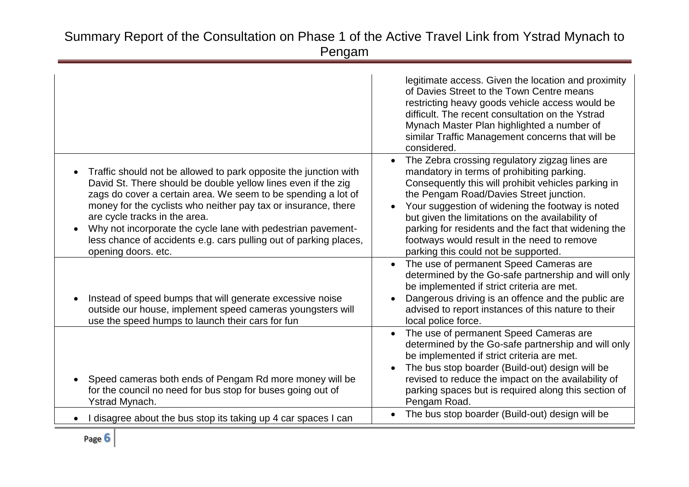|                                                                                                                                                                                                                                                                                                                                                                                                                                                                   | legitimate access. Given the location and proximity<br>of Davies Street to the Town Centre means<br>restricting heavy goods vehicle access would be<br>difficult. The recent consultation on the Ystrad<br>Mynach Master Plan highlighted a number of<br>similar Traffic Management concerns that will be<br>considered.                                                                                                                              |
|-------------------------------------------------------------------------------------------------------------------------------------------------------------------------------------------------------------------------------------------------------------------------------------------------------------------------------------------------------------------------------------------------------------------------------------------------------------------|-------------------------------------------------------------------------------------------------------------------------------------------------------------------------------------------------------------------------------------------------------------------------------------------------------------------------------------------------------------------------------------------------------------------------------------------------------|
| Traffic should not be allowed to park opposite the junction with<br>David St. There should be double yellow lines even if the zig<br>zags do cover a certain area. We seem to be spending a lot of<br>money for the cyclists who neither pay tax or insurance, there<br>are cycle tracks in the area.<br>Why not incorporate the cycle lane with pedestrian pavement-<br>less chance of accidents e.g. cars pulling out of parking places,<br>opening doors. etc. | The Zebra crossing regulatory zigzag lines are<br>mandatory in terms of prohibiting parking.<br>Consequently this will prohibit vehicles parking in<br>the Pengam Road/Davies Street junction.<br>Your suggestion of widening the footway is noted<br>but given the limitations on the availability of<br>parking for residents and the fact that widening the<br>footways would result in the need to remove<br>parking this could not be supported. |
| Instead of speed bumps that will generate excessive noise<br>outside our house, implement speed cameras youngsters will<br>use the speed humps to launch their cars for fun                                                                                                                                                                                                                                                                                       | The use of permanent Speed Cameras are<br>determined by the Go-safe partnership and will only<br>be implemented if strict criteria are met.<br>Dangerous driving is an offence and the public are<br>advised to report instances of this nature to their<br>local police force.                                                                                                                                                                       |
| Speed cameras both ends of Pengam Rd more money will be<br>for the council no need for bus stop for buses going out of<br>Ystrad Mynach.                                                                                                                                                                                                                                                                                                                          | The use of permanent Speed Cameras are<br>determined by the Go-safe partnership and will only<br>be implemented if strict criteria are met.<br>The bus stop boarder (Build-out) design will be<br>revised to reduce the impact on the availability of<br>parking spaces but is required along this section of<br>Pengam Road.                                                                                                                         |
| disagree about the bus stop its taking up 4 car spaces I can                                                                                                                                                                                                                                                                                                                                                                                                      | The bus stop boarder (Build-out) design will be                                                                                                                                                                                                                                                                                                                                                                                                       |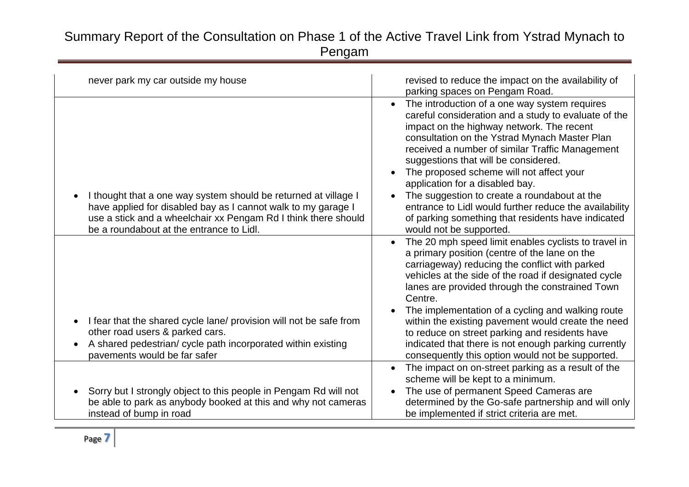| never park my car outside my house                                                                                                                                                                                                             | revised to reduce the impact on the availability of                                                                                                                                                                                                                                                                                                                                                                                                                                                                                                                                                |
|------------------------------------------------------------------------------------------------------------------------------------------------------------------------------------------------------------------------------------------------|----------------------------------------------------------------------------------------------------------------------------------------------------------------------------------------------------------------------------------------------------------------------------------------------------------------------------------------------------------------------------------------------------------------------------------------------------------------------------------------------------------------------------------------------------------------------------------------------------|
|                                                                                                                                                                                                                                                | parking spaces on Pengam Road.                                                                                                                                                                                                                                                                                                                                                                                                                                                                                                                                                                     |
| I thought that a one way system should be returned at village I<br>have applied for disabled bay as I cannot walk to my garage I<br>use a stick and a wheelchair xx Pengam Rd I think there should<br>be a roundabout at the entrance to Lidl. | The introduction of a one way system requires<br>$\bullet$<br>careful consideration and a study to evaluate of the<br>impact on the highway network. The recent<br>consultation on the Ystrad Mynach Master Plan<br>received a number of similar Traffic Management<br>suggestions that will be considered.<br>The proposed scheme will not affect your<br>$\bullet$<br>application for a disabled bay.<br>The suggestion to create a roundabout at the<br>entrance to Lidl would further reduce the availability<br>of parking something that residents have indicated<br>would not be supported. |
| I fear that the shared cycle lane/ provision will not be safe from<br>other road users & parked cars.<br>A shared pedestrian/ cycle path incorporated within existing<br>pavements would be far safer                                          | The 20 mph speed limit enables cyclists to travel in<br>a primary position (centre of the lane on the<br>carriageway) reducing the conflict with parked<br>vehicles at the side of the road if designated cycle<br>lanes are provided through the constrained Town<br>Centre.<br>The implementation of a cycling and walking route<br>within the existing pavement would create the need<br>to reduce on street parking and residents have<br>indicated that there is not enough parking currently<br>consequently this option would not be supported.                                             |
| Sorry but I strongly object to this people in Pengam Rd will not<br>be able to park as anybody booked at this and why not cameras<br>instead of bump in road                                                                                   | The impact on on-street parking as a result of the<br>$\bullet$<br>scheme will be kept to a minimum.<br>The use of permanent Speed Cameras are<br>$\bullet$<br>determined by the Go-safe partnership and will only<br>be implemented if strict criteria are met.                                                                                                                                                                                                                                                                                                                                   |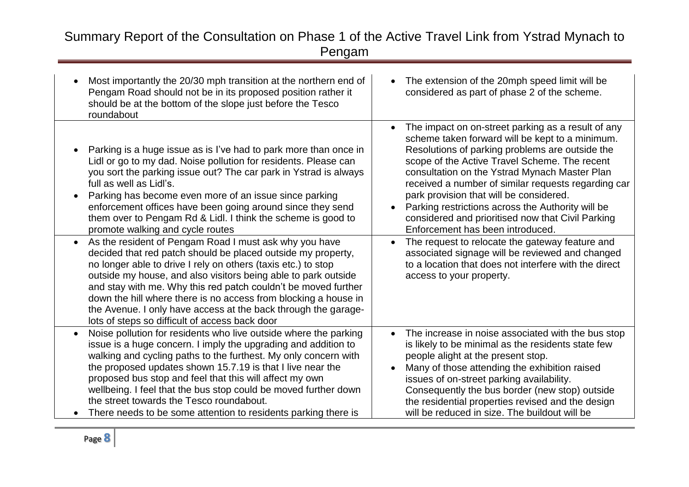| Most importantly the 20/30 mph transition at the northern end of<br>Pengam Road should not be in its proposed position rather it<br>should be at the bottom of the slope just before the Tesco<br>roundabout                                                                                                                                                                                                                                                                                                                                       | The extension of the 20mph speed limit will be<br>$\bullet$<br>considered as part of phase 2 of the scheme.                                                                                                                                                                                                                                                                                                                                                                                                                                                                             |
|----------------------------------------------------------------------------------------------------------------------------------------------------------------------------------------------------------------------------------------------------------------------------------------------------------------------------------------------------------------------------------------------------------------------------------------------------------------------------------------------------------------------------------------------------|-----------------------------------------------------------------------------------------------------------------------------------------------------------------------------------------------------------------------------------------------------------------------------------------------------------------------------------------------------------------------------------------------------------------------------------------------------------------------------------------------------------------------------------------------------------------------------------------|
| Parking is a huge issue as is I've had to park more than once in<br>Lidl or go to my dad. Noise pollution for residents. Please can<br>you sort the parking issue out? The car park in Ystrad is always<br>full as well as Lidl's.<br>Parking has become even more of an issue since parking<br>$\bullet$<br>enforcement offices have been going around since they send<br>them over to Pengam Rd & Lidl. I think the scheme is good to<br>promote walking and cycle routes<br>As the resident of Pengam Road I must ask why you have<br>$\bullet$ | The impact on on-street parking as a result of any<br>$\bullet$<br>scheme taken forward will be kept to a minimum.<br>Resolutions of parking problems are outside the<br>scope of the Active Travel Scheme. The recent<br>consultation on the Ystrad Mynach Master Plan<br>received a number of similar requests regarding car<br>park provision that will be considered.<br>Parking restrictions across the Authority will be<br>$\bullet$<br>considered and prioritised now that Civil Parking<br>Enforcement has been introduced.<br>The request to relocate the gateway feature and |
| decided that red patch should be placed outside my property,<br>no longer able to drive I rely on others (taxis etc.) to stop<br>outside my house, and also visitors being able to park outside<br>and stay with me. Why this red patch couldn't be moved further<br>down the hill where there is no access from blocking a house in<br>the Avenue. I only have access at the back through the garage-<br>lots of steps so difficult of access back door                                                                                           | associated signage will be reviewed and changed<br>to a location that does not interfere with the direct<br>access to your property.                                                                                                                                                                                                                                                                                                                                                                                                                                                    |
| Noise pollution for residents who live outside where the parking<br>$\bullet$<br>issue is a huge concern. I imply the upgrading and addition to<br>walking and cycling paths to the furthest. My only concern with<br>the proposed updates shown 15.7.19 is that I live near the<br>proposed bus stop and feel that this will affect my own<br>wellbeing. I feel that the bus stop could be moved further down<br>the street towards the Tesco roundabout.<br>There needs to be some attention to residents parking there is                       | The increase in noise associated with the bus stop<br>$\bullet$<br>is likely to be minimal as the residents state few<br>people alight at the present stop.<br>Many of those attending the exhibition raised<br>$\bullet$<br>issues of on-street parking availability.<br>Consequently the bus border (new stop) outside<br>the residential properties revised and the design<br>will be reduced in size. The buildout will be                                                                                                                                                          |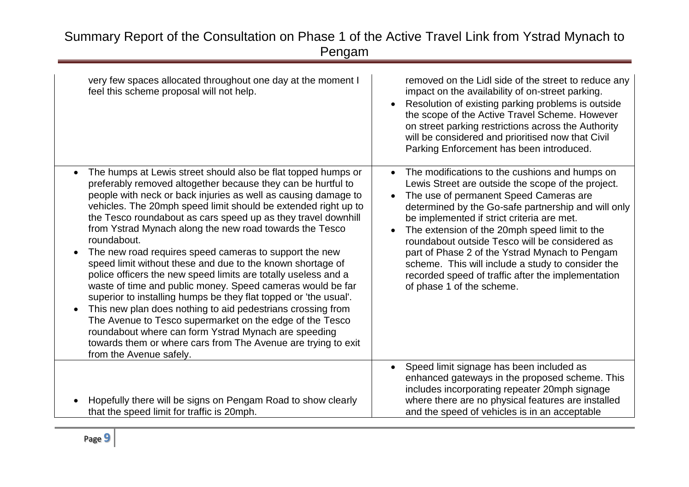| very few spaces allocated throughout one day at the moment I<br>feel this scheme proposal will not help.                                                                                                                                                                                                                                                                                                                                                                                                                                                                                                                                                                                                                                                                                                                                                                                                                                                                                                                                                       | removed on the Lidl side of the street to reduce any<br>impact on the availability of on-street parking.<br>Resolution of existing parking problems is outside<br>the scope of the Active Travel Scheme. However<br>on street parking restrictions across the Authority<br>will be considered and prioritised now that Civil<br>Parking Enforcement has been introduced.                                                                                                                                                                                      |
|----------------------------------------------------------------------------------------------------------------------------------------------------------------------------------------------------------------------------------------------------------------------------------------------------------------------------------------------------------------------------------------------------------------------------------------------------------------------------------------------------------------------------------------------------------------------------------------------------------------------------------------------------------------------------------------------------------------------------------------------------------------------------------------------------------------------------------------------------------------------------------------------------------------------------------------------------------------------------------------------------------------------------------------------------------------|---------------------------------------------------------------------------------------------------------------------------------------------------------------------------------------------------------------------------------------------------------------------------------------------------------------------------------------------------------------------------------------------------------------------------------------------------------------------------------------------------------------------------------------------------------------|
| The humps at Lewis street should also be flat topped humps or<br>$\bullet$<br>preferably removed altogether because they can be hurtful to<br>people with neck or back injuries as well as causing damage to<br>vehicles. The 20mph speed limit should be extended right up to<br>the Tesco roundabout as cars speed up as they travel downhill<br>from Ystrad Mynach along the new road towards the Tesco<br>roundabout.<br>The new road requires speed cameras to support the new<br>$\bullet$<br>speed limit without these and due to the known shortage of<br>police officers the new speed limits are totally useless and a<br>waste of time and public money. Speed cameras would be far<br>superior to installing humps be they flat topped or 'the usual'.<br>This new plan does nothing to aid pedestrians crossing from<br>$\bullet$<br>The Avenue to Tesco supermarket on the edge of the Tesco<br>roundabout where can form Ystrad Mynach are speeding<br>towards them or where cars from The Avenue are trying to exit<br>from the Avenue safely. | The modifications to the cushions and humps on<br>$\bullet$<br>Lewis Street are outside the scope of the project.<br>The use of permanent Speed Cameras are<br>determined by the Go-safe partnership and will only<br>be implemented if strict criteria are met.<br>The extension of the 20mph speed limit to the<br>roundabout outside Tesco will be considered as<br>part of Phase 2 of the Ystrad Mynach to Pengam<br>scheme. This will include a study to consider the<br>recorded speed of traffic after the implementation<br>of phase 1 of the scheme. |
| Hopefully there will be signs on Pengam Road to show clearly<br>that the speed limit for traffic is 20mph.                                                                                                                                                                                                                                                                                                                                                                                                                                                                                                                                                                                                                                                                                                                                                                                                                                                                                                                                                     | Speed limit signage has been included as<br>$\bullet$<br>enhanced gateways in the proposed scheme. This<br>includes incorporating repeater 20mph signage<br>where there are no physical features are installed<br>and the speed of vehicles is in an acceptable                                                                                                                                                                                                                                                                                               |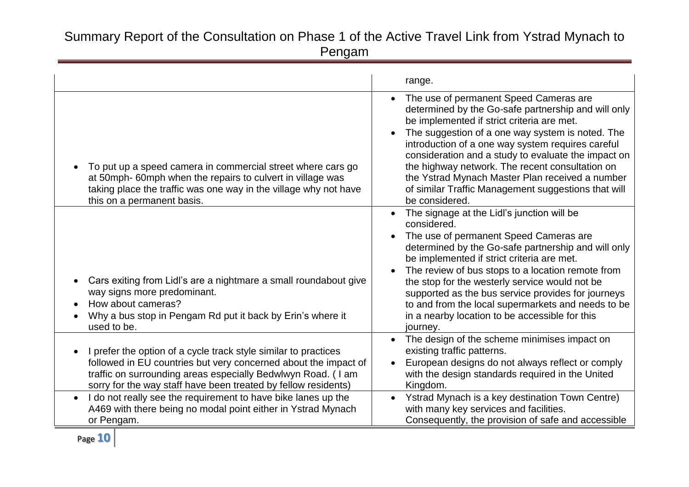|                                                                                                                                                                                                                                                                      | range.                                                                                                                                                                                                                                                                                                                                                                                                                                                                                                 |
|----------------------------------------------------------------------------------------------------------------------------------------------------------------------------------------------------------------------------------------------------------------------|--------------------------------------------------------------------------------------------------------------------------------------------------------------------------------------------------------------------------------------------------------------------------------------------------------------------------------------------------------------------------------------------------------------------------------------------------------------------------------------------------------|
| To put up a speed camera in commercial street where cars go<br>at 50mph- 60mph when the repairs to culvert in village was<br>taking place the traffic was one way in the village why not have<br>this on a permanent basis.                                          | The use of permanent Speed Cameras are<br>determined by the Go-safe partnership and will only<br>be implemented if strict criteria are met.<br>The suggestion of a one way system is noted. The<br>introduction of a one way system requires careful<br>consideration and a study to evaluate the impact on<br>the highway network. The recent consultation on<br>the Ystrad Mynach Master Plan received a number<br>of similar Traffic Management suggestions that will<br>be considered.             |
| Cars exiting from Lidl's are a nightmare a small roundabout give<br>way signs more predominant.<br>How about cameras?<br>Why a bus stop in Pengam Rd put it back by Erin's where it<br>used to be.                                                                   | The signage at the Lidl's junction will be<br>$\bullet$<br>considered.<br>The use of permanent Speed Cameras are<br>determined by the Go-safe partnership and will only<br>be implemented if strict criteria are met.<br>The review of bus stops to a location remote from<br>the stop for the westerly service would not be<br>supported as the bus service provides for journeys<br>to and from the local supermarkets and needs to be<br>in a nearby location to be accessible for this<br>journey. |
| I prefer the option of a cycle track style similar to practices<br>followed in EU countries but very concerned about the impact of<br>traffic on surrounding areas especially Bedwlwyn Road. (I am<br>sorry for the way staff have been treated by fellow residents) | The design of the scheme minimises impact on<br>existing traffic patterns.<br>European designs do not always reflect or comply<br>with the design standards required in the United<br>Kingdom.                                                                                                                                                                                                                                                                                                         |
| I do not really see the requirement to have bike lanes up the<br>$\bullet$<br>A469 with there being no modal point either in Ystrad Mynach<br>or Pengam.                                                                                                             | Ystrad Mynach is a key destination Town Centre)<br>with many key services and facilities.<br>Consequently, the provision of safe and accessible                                                                                                                                                                                                                                                                                                                                                        |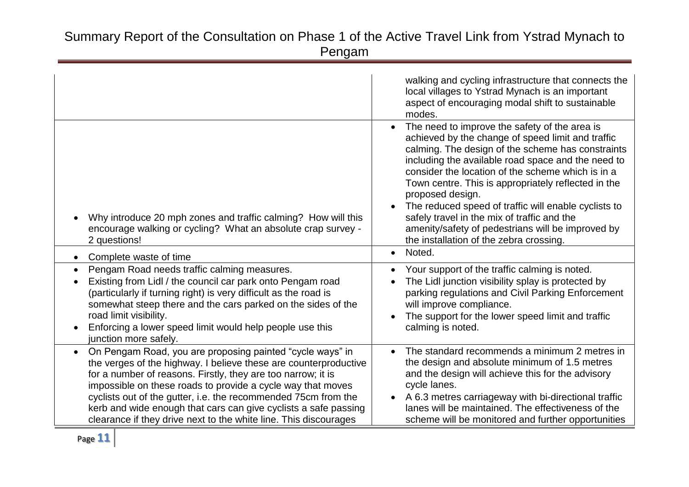|                                                                                                                                                                                                                                                                                                                                                                                                                                                                       | walking and cycling infrastructure that connects the<br>local villages to Ystrad Mynach is an important<br>aspect of encouraging modal shift to sustainable<br>modes.                                                                                                                                                                                                                                                                                                                                                                                |
|-----------------------------------------------------------------------------------------------------------------------------------------------------------------------------------------------------------------------------------------------------------------------------------------------------------------------------------------------------------------------------------------------------------------------------------------------------------------------|------------------------------------------------------------------------------------------------------------------------------------------------------------------------------------------------------------------------------------------------------------------------------------------------------------------------------------------------------------------------------------------------------------------------------------------------------------------------------------------------------------------------------------------------------|
| Why introduce 20 mph zones and traffic calming? How will this<br>encourage walking or cycling? What an absolute crap survey -<br>2 questions!                                                                                                                                                                                                                                                                                                                         | The need to improve the safety of the area is<br>achieved by the change of speed limit and traffic<br>calming. The design of the scheme has constraints<br>including the available road space and the need to<br>consider the location of the scheme which is in a<br>Town centre. This is appropriately reflected in the<br>proposed design.<br>The reduced speed of traffic will enable cyclists to<br>safely travel in the mix of traffic and the<br>amenity/safety of pedestrians will be improved by<br>the installation of the zebra crossing. |
| Complete waste of time<br>$\bullet$                                                                                                                                                                                                                                                                                                                                                                                                                                   | Noted.<br>$\bullet$                                                                                                                                                                                                                                                                                                                                                                                                                                                                                                                                  |
| Pengam Road needs traffic calming measures.<br>Existing from Lidl / the council car park onto Pengam road<br>(particularly if turning right) is very difficult as the road is<br>somewhat steep there and the cars parked on the sides of the<br>road limit visibility.<br>Enforcing a lower speed limit would help people use this<br>junction more safely.                                                                                                          | Your support of the traffic calming is noted.<br>$\bullet$<br>The Lidl junction visibility splay is protected by<br>parking regulations and Civil Parking Enforcement<br>will improve compliance.<br>The support for the lower speed limit and traffic<br>calming is noted.                                                                                                                                                                                                                                                                          |
| On Pengam Road, you are proposing painted "cycle ways" in<br>the verges of the highway. I believe these are counterproductive<br>for a number of reasons. Firstly, they are too narrow; it is<br>impossible on these roads to provide a cycle way that moves<br>cyclists out of the gutter, i.e. the recommended 75cm from the<br>kerb and wide enough that cars can give cyclists a safe passing<br>clearance if they drive next to the white line. This discourages | The standard recommends a minimum 2 metres in<br>the design and absolute minimum of 1.5 metres<br>and the design will achieve this for the advisory<br>cycle lanes.<br>A 6.3 metres carriageway with bi-directional traffic<br>$\bullet$<br>lanes will be maintained. The effectiveness of the<br>scheme will be monitored and further opportunities                                                                                                                                                                                                 |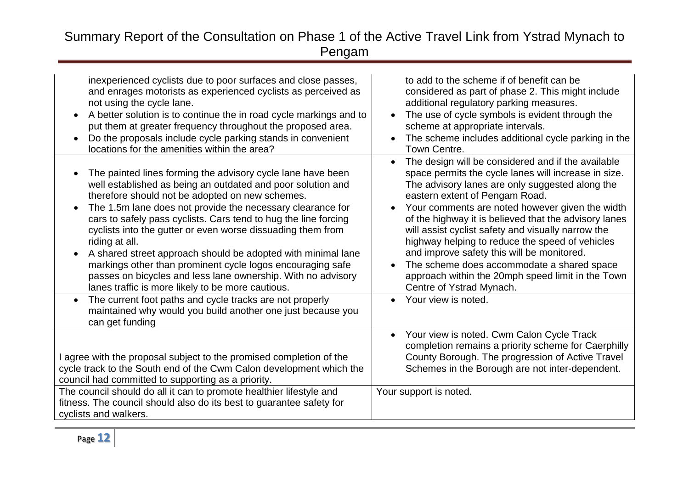| inexperienced cyclists due to poor surfaces and close passes,<br>and enrages motorists as experienced cyclists as perceived as<br>not using the cycle lane.<br>A better solution is to continue the in road cycle markings and to<br>put them at greater frequency throughout the proposed area.<br>Do the proposals include cycle parking stands in convenient<br>locations for the amenities within the area?                                                                                                                                                                                                                                                                                                                                                                                         | to add to the scheme if of benefit can be<br>considered as part of phase 2. This might include<br>additional regulatory parking measures.<br>The use of cycle symbols is evident through the<br>$\bullet$<br>scheme at appropriate intervals.<br>The scheme includes additional cycle parking in the<br>Town Centre.                                                                                                                                                                                                                                                                                                                  |
|---------------------------------------------------------------------------------------------------------------------------------------------------------------------------------------------------------------------------------------------------------------------------------------------------------------------------------------------------------------------------------------------------------------------------------------------------------------------------------------------------------------------------------------------------------------------------------------------------------------------------------------------------------------------------------------------------------------------------------------------------------------------------------------------------------|---------------------------------------------------------------------------------------------------------------------------------------------------------------------------------------------------------------------------------------------------------------------------------------------------------------------------------------------------------------------------------------------------------------------------------------------------------------------------------------------------------------------------------------------------------------------------------------------------------------------------------------|
| The painted lines forming the advisory cycle lane have been<br>well established as being an outdated and poor solution and<br>therefore should not be adopted on new schemes.<br>The 1.5m lane does not provide the necessary clearance for<br>$\bullet$<br>cars to safely pass cyclists. Cars tend to hug the line forcing<br>cyclists into the gutter or even worse dissuading them from<br>riding at all.<br>A shared street approach should be adopted with minimal lane<br>markings other than prominent cycle logos encouraging safe<br>passes on bicycles and less lane ownership. With no advisory<br>lanes traffic is more likely to be more cautious.<br>The current foot paths and cycle tracks are not properly<br>$\bullet$<br>maintained why would you build another one just because you | The design will be considered and if the available<br>$\bullet$<br>space permits the cycle lanes will increase in size.<br>The advisory lanes are only suggested along the<br>eastern extent of Pengam Road.<br>Your comments are noted however given the width<br>of the highway it is believed that the advisory lanes<br>will assist cyclist safety and visually narrow the<br>highway helping to reduce the speed of vehicles<br>and improve safety this will be monitored.<br>The scheme does accommodate a shared space<br>approach within the 20mph speed limit in the Town<br>Centre of Ystrad Mynach.<br>Your view is noted. |
| can get funding<br>I agree with the proposal subject to the promised completion of the<br>cycle track to the South end of the Cwm Calon development which the<br>council had committed to supporting as a priority.                                                                                                                                                                                                                                                                                                                                                                                                                                                                                                                                                                                     | Your view is noted. Cwm Calon Cycle Track<br>$\bullet$<br>completion remains a priority scheme for Caerphilly<br>County Borough. The progression of Active Travel<br>Schemes in the Borough are not inter-dependent.                                                                                                                                                                                                                                                                                                                                                                                                                  |
| The council should do all it can to promote healthier lifestyle and<br>fitness. The council should also do its best to guarantee safety for<br>cyclists and walkers.                                                                                                                                                                                                                                                                                                                                                                                                                                                                                                                                                                                                                                    | Your support is noted.                                                                                                                                                                                                                                                                                                                                                                                                                                                                                                                                                                                                                |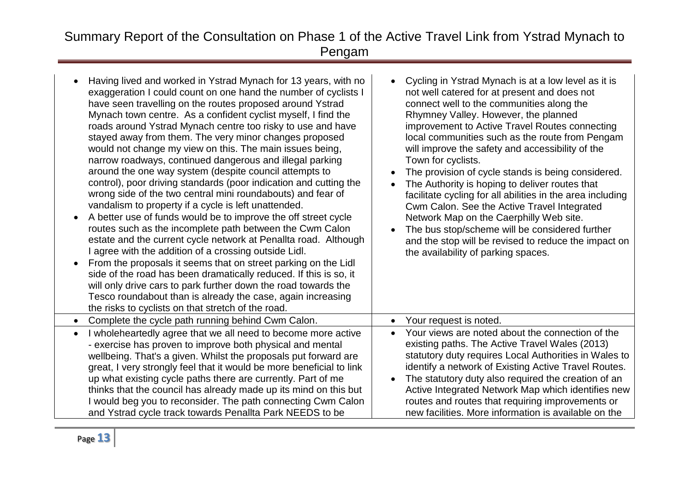| Having lived and worked in Ystrad Mynach for 13 years, with no<br>exaggeration I could count on one hand the number of cyclists I<br>have seen travelling on the routes proposed around Ystrad<br>Mynach town centre. As a confident cyclist myself, I find the<br>roads around Ystrad Mynach centre too risky to use and have<br>stayed away from them. The very minor changes proposed<br>would not change my view on this. The main issues being,<br>narrow roadways, continued dangerous and illegal parking<br>around the one way system (despite council attempts to<br>control), poor driving standards (poor indication and cutting the<br>wrong side of the two central mini roundabouts) and fear of<br>vandalism to property if a cycle is left unattended.<br>A better use of funds would be to improve the off street cycle<br>routes such as the incomplete path between the Cwm Calon<br>estate and the current cycle network at Penallta road. Although<br>I agree with the addition of a crossing outside Lidl.<br>From the proposals it seems that on street parking on the Lidl<br>side of the road has been dramatically reduced. If this is so, it<br>will only drive cars to park further down the road towards the<br>Tesco roundabout than is already the case, again increasing<br>the risks to cyclists on that stretch of the road. | Cycling in Ystrad Mynach is at a low level as it is<br>not well catered for at present and does not<br>connect well to the communities along the<br>Rhymney Valley. However, the planned<br>improvement to Active Travel Routes connecting<br>local communities such as the route from Pengam<br>will improve the safety and accessibility of the<br>Town for cyclists.<br>The provision of cycle stands is being considered.<br>The Authority is hoping to deliver routes that<br>facilitate cycling for all abilities in the area including<br>Cwm Calon. See the Active Travel Integrated<br>Network Map on the Caerphilly Web site.<br>The bus stop/scheme will be considered further<br>and the stop will be revised to reduce the impact on<br>the availability of parking spaces. |
|----------------------------------------------------------------------------------------------------------------------------------------------------------------------------------------------------------------------------------------------------------------------------------------------------------------------------------------------------------------------------------------------------------------------------------------------------------------------------------------------------------------------------------------------------------------------------------------------------------------------------------------------------------------------------------------------------------------------------------------------------------------------------------------------------------------------------------------------------------------------------------------------------------------------------------------------------------------------------------------------------------------------------------------------------------------------------------------------------------------------------------------------------------------------------------------------------------------------------------------------------------------------------------------------------------------------------------------------------------------|------------------------------------------------------------------------------------------------------------------------------------------------------------------------------------------------------------------------------------------------------------------------------------------------------------------------------------------------------------------------------------------------------------------------------------------------------------------------------------------------------------------------------------------------------------------------------------------------------------------------------------------------------------------------------------------------------------------------------------------------------------------------------------------|
| Complete the cycle path running behind Cwm Calon.                                                                                                                                                                                                                                                                                                                                                                                                                                                                                                                                                                                                                                                                                                                                                                                                                                                                                                                                                                                                                                                                                                                                                                                                                                                                                                              | Your request is noted.<br>$\bullet$                                                                                                                                                                                                                                                                                                                                                                                                                                                                                                                                                                                                                                                                                                                                                      |
| I wholeheartedly agree that we all need to become more active<br>$\bullet$<br>- exercise has proven to improve both physical and mental<br>wellbeing. That's a given. Whilst the proposals put forward are<br>great, I very strongly feel that it would be more beneficial to link<br>up what existing cycle paths there are currently. Part of me<br>thinks that the council has already made up its mind on this but<br>I would beg you to reconsider. The path connecting Cwm Calon<br>and Ystrad cycle track towards Penallta Park NEEDS to be                                                                                                                                                                                                                                                                                                                                                                                                                                                                                                                                                                                                                                                                                                                                                                                                             | Your views are noted about the connection of the<br>$\bullet$<br>existing paths. The Active Travel Wales (2013)<br>statutory duty requires Local Authorities in Wales to<br>identify a network of Existing Active Travel Routes.<br>The statutory duty also required the creation of an<br>Active Integrated Network Map which identifies new<br>routes and routes that requiring improvements or<br>new facilities. More information is available on the                                                                                                                                                                                                                                                                                                                                |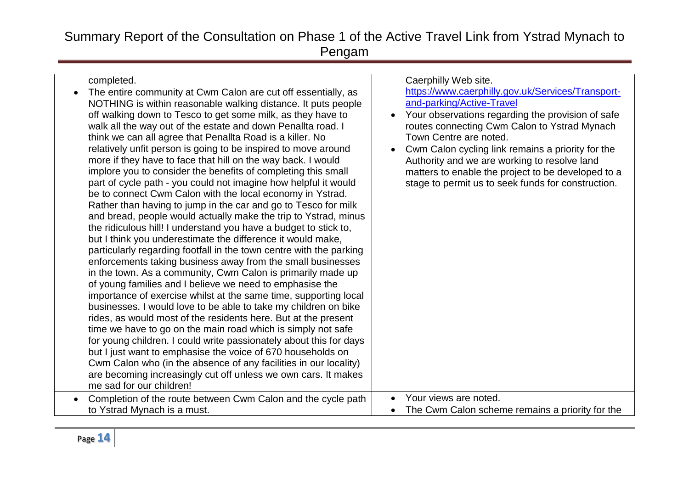| completed.                                                          | Caerphilly Web site.                               |
|---------------------------------------------------------------------|----------------------------------------------------|
| The entire community at Cwm Calon are cut off essentially, as       | https://www.caerphilly.gov.uk/Services/Transport-  |
| NOTHING is within reasonable walking distance. It puts people       | and-parking/Active-Travel                          |
| off walking down to Tesco to get some milk, as they have to         | Your observations regarding the provision of safe  |
| walk all the way out of the estate and down Penallta road. I        | routes connecting Cwm Calon to Ystrad Mynach       |
| think we can all agree that Penallta Road is a killer. No           | Town Centre are noted.                             |
| relatively unfit person is going to be inspired to move around      | Cwm Calon cycling link remains a priority for the  |
| more if they have to face that hill on the way back. I would        | Authority and we are working to resolve land       |
| implore you to consider the benefits of completing this small       | matters to enable the project to be developed to a |
| part of cycle path - you could not imagine how helpful it would     | stage to permit us to seek funds for construction. |
| be to connect Cwm Calon with the local economy in Ystrad.           |                                                    |
| Rather than having to jump in the car and go to Tesco for milk      |                                                    |
| and bread, people would actually make the trip to Ystrad, minus     |                                                    |
| the ridiculous hill! I understand you have a budget to stick to,    |                                                    |
| but I think you underestimate the difference it would make,         |                                                    |
| particularly regarding footfall in the town centre with the parking |                                                    |
| enforcements taking business away from the small businesses         |                                                    |
| in the town. As a community, Cwm Calon is primarily made up         |                                                    |
| of young families and I believe we need to emphasise the            |                                                    |
| importance of exercise whilst at the same time, supporting local    |                                                    |
| businesses. I would love to be able to take my children on bike     |                                                    |
| rides, as would most of the residents here. But at the present      |                                                    |
| time we have to go on the main road which is simply not safe        |                                                    |
| for young children. I could write passionately about this for days  |                                                    |
| but I just want to emphasise the voice of 670 households on         |                                                    |
| Cwm Calon who (in the absence of any facilities in our locality)    |                                                    |
| are becoming increasingly cut off unless we own cars. It makes      |                                                    |
| me sad for our children!                                            |                                                    |
|                                                                     | Your views are noted.                              |
| Completion of the route between Cwm Calon and the cycle path        | $\bullet$                                          |
| to Ystrad Mynach is a must.                                         | The Cwm Calon scheme remains a priority for the    |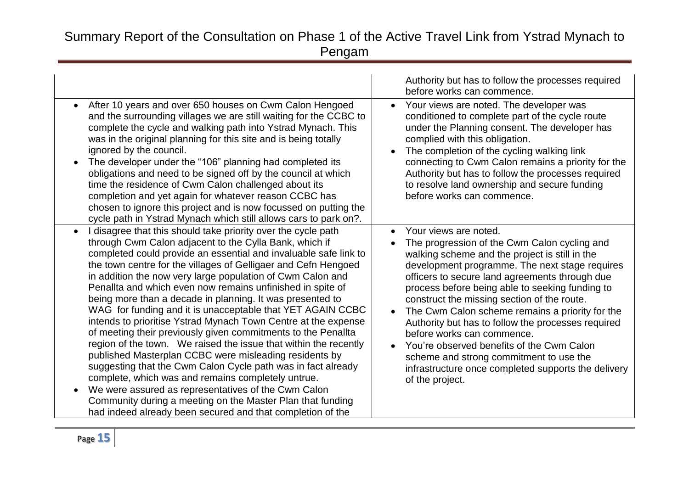| After 10 years and over 650 houses on Cwm Calon Hengoed<br>$\bullet$<br>and the surrounding villages we are still waiting for the CCBC to<br>complete the cycle and walking path into Ystrad Mynach. This<br>was in the original planning for this site and is being totally<br>ignored by the council.<br>The developer under the "106" planning had completed its<br>$\bullet$<br>obligations and need to be signed off by the council at which<br>time the residence of Cwm Calon challenged about its<br>completion and yet again for whatever reason CCBC has                                                                                                                                                                                                                                                                                                                                                                                                                                                                                                                                          | Authority but has to follow the processes required<br>before works can commence.<br>Your views are noted. The developer was<br>$\bullet$<br>conditioned to complete part of the cycle route<br>under the Planning consent. The developer has<br>complied with this obligation.<br>The completion of the cycling walking link<br>connecting to Cwm Calon remains a priority for the<br>Authority but has to follow the processes required<br>to resolve land ownership and secure funding<br>before works can commence.                                                                                                                                           |
|-------------------------------------------------------------------------------------------------------------------------------------------------------------------------------------------------------------------------------------------------------------------------------------------------------------------------------------------------------------------------------------------------------------------------------------------------------------------------------------------------------------------------------------------------------------------------------------------------------------------------------------------------------------------------------------------------------------------------------------------------------------------------------------------------------------------------------------------------------------------------------------------------------------------------------------------------------------------------------------------------------------------------------------------------------------------------------------------------------------|------------------------------------------------------------------------------------------------------------------------------------------------------------------------------------------------------------------------------------------------------------------------------------------------------------------------------------------------------------------------------------------------------------------------------------------------------------------------------------------------------------------------------------------------------------------------------------------------------------------------------------------------------------------|
| chosen to ignore this project and is now focussed on putting the<br>cycle path in Ystrad Mynach which still allows cars to park on?.                                                                                                                                                                                                                                                                                                                                                                                                                                                                                                                                                                                                                                                                                                                                                                                                                                                                                                                                                                        |                                                                                                                                                                                                                                                                                                                                                                                                                                                                                                                                                                                                                                                                  |
| I disagree that this should take priority over the cycle path<br>$\bullet$<br>through Cwm Calon adjacent to the Cylla Bank, which if<br>completed could provide an essential and invaluable safe link to<br>the town centre for the villages of Gelligaer and Cefn Hengoed<br>in addition the now very large population of Cwm Calon and<br>Penallta and which even now remains unfinished in spite of<br>being more than a decade in planning. It was presented to<br>WAG for funding and it is unacceptable that YET AGAIN CCBC<br>intends to prioritise Ystrad Mynach Town Centre at the expense<br>of meeting their previously given commitments to the Penallta<br>region of the town. We raised the issue that within the recently<br>published Masterplan CCBC were misleading residents by<br>suggesting that the Cwm Calon Cycle path was in fact already<br>complete, which was and remains completely untrue.<br>We were assured as representatives of the Cwm Calon<br>Community during a meeting on the Master Plan that funding<br>had indeed already been secured and that completion of the | Your views are noted.<br>$\bullet$<br>The progression of the Cwm Calon cycling and<br>walking scheme and the project is still in the<br>development programme. The next stage requires<br>officers to secure land agreements through due<br>process before being able to seeking funding to<br>construct the missing section of the route.<br>The Cwm Calon scheme remains a priority for the<br>Authority but has to follow the processes required<br>before works can commence.<br>You're observed benefits of the Cwm Calon<br>$\bullet$<br>scheme and strong commitment to use the<br>infrastructure once completed supports the delivery<br>of the project. |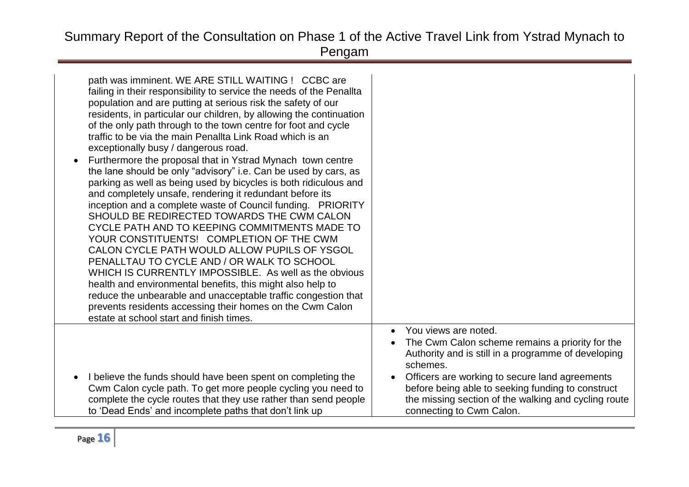| path was imminent. WE ARE STILL WAITING ! CCBC are<br>failing in their responsibility to service the needs of the Penallta<br>population and are putting at serious risk the safety of our<br>residents, in particular our children, by allowing the continuation<br>of the only path through to the town centre for foot and cycle<br>traffic to be via the main Penallta Link Road which is an<br>exceptionally busy / dangerous road.<br>Furthermore the proposal that in Ystrad Mynach town centre<br>$\bullet$<br>the lane should be only "advisory" i.e. Can be used by cars, as<br>parking as well as being used by bicycles is both ridiculous and<br>and completely unsafe, rendering it redundant before its<br>inception and a complete waste of Council funding. PRIORITY<br>SHOULD BE REDIRECTED TOWARDS THE CWM CALON<br>CYCLE PATH AND TO KEEPING COMMITMENTS MADE TO<br>YOUR CONSTITUENTS! COMPLETION OF THE CWM<br>CALON CYCLE PATH WOULD ALLOW PUPILS OF YSGOL<br>PENALLTAU TO CYCLE AND / OR WALK TO SCHOOL<br>WHICH IS CURRENTLY IMPOSSIBLE. As well as the obvious<br>health and environmental benefits, this might also help to<br>reduce the unbearable and unacceptable traffic congestion that<br>prevents residents accessing their homes on the Cwm Calon<br>estate at school start and finish times. |                                                                                                                                                                                                                                                                                                                                                                 |
|----------------------------------------------------------------------------------------------------------------------------------------------------------------------------------------------------------------------------------------------------------------------------------------------------------------------------------------------------------------------------------------------------------------------------------------------------------------------------------------------------------------------------------------------------------------------------------------------------------------------------------------------------------------------------------------------------------------------------------------------------------------------------------------------------------------------------------------------------------------------------------------------------------------------------------------------------------------------------------------------------------------------------------------------------------------------------------------------------------------------------------------------------------------------------------------------------------------------------------------------------------------------------------------------------------------------------------|-----------------------------------------------------------------------------------------------------------------------------------------------------------------------------------------------------------------------------------------------------------------------------------------------------------------------------------------------------------------|
| I believe the funds should have been spent on completing the<br>Cwm Calon cycle path. To get more people cycling you need to<br>complete the cycle routes that they use rather than send people<br>to 'Dead Ends' and incomplete paths that don't link up                                                                                                                                                                                                                                                                                                                                                                                                                                                                                                                                                                                                                                                                                                                                                                                                                                                                                                                                                                                                                                                                        | You views are noted.<br>$\bullet$<br>The Cwm Calon scheme remains a priority for the<br>$\bullet$<br>Authority and is still in a programme of developing<br>schemes.<br>Officers are working to secure land agreements<br>before being able to seeking funding to construct<br>the missing section of the walking and cycling route<br>connecting to Cwm Calon. |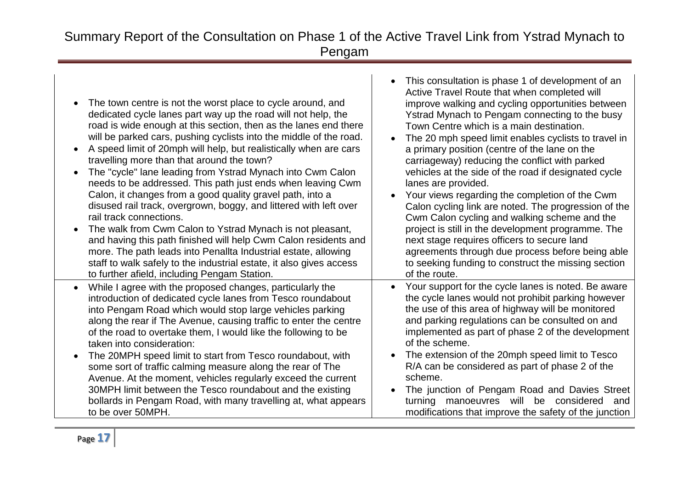| The town centre is not the worst place to cycle around, and<br>dedicated cycle lanes part way up the road will not help, the<br>road is wide enough at this section, then as the lanes end there<br>will be parked cars, pushing cyclists into the middle of the road.<br>A speed limit of 20mph will help, but realistically when are cars<br>travelling more than that around the town?<br>The "cycle" lane leading from Ystrad Mynach into Cwm Calon<br>needs to be addressed. This path just ends when leaving Cwm<br>Calon, it changes from a good quality gravel path, into a<br>disused rail track, overgrown, boggy, and littered with left over<br>rail track connections.<br>The walk from Cwm Calon to Ystrad Mynach is not pleasant,<br>and having this path finished will help Cwm Calon residents and<br>more. The path leads into Penallta Industrial estate, allowing<br>staff to walk safely to the industrial estate, it also gives access<br>to further afield, including Pengam Station. | This consultation is phase 1 of development of an<br>$\bullet$<br>Active Travel Route that when completed will<br>improve walking and cycling opportunities between<br>Ystrad Mynach to Pengam connecting to the busy<br>Town Centre which is a main destination.<br>The 20 mph speed limit enables cyclists to travel in<br>a primary position (centre of the lane on the<br>carriageway) reducing the conflict with parked<br>vehicles at the side of the road if designated cycle<br>lanes are provided.<br>Your views regarding the completion of the Cwm<br>Calon cycling link are noted. The progression of the<br>Cwm Calon cycling and walking scheme and the<br>project is still in the development programme. The<br>next stage requires officers to secure land<br>agreements through due process before being able<br>to seeking funding to construct the missing section<br>of the route. |
|--------------------------------------------------------------------------------------------------------------------------------------------------------------------------------------------------------------------------------------------------------------------------------------------------------------------------------------------------------------------------------------------------------------------------------------------------------------------------------------------------------------------------------------------------------------------------------------------------------------------------------------------------------------------------------------------------------------------------------------------------------------------------------------------------------------------------------------------------------------------------------------------------------------------------------------------------------------------------------------------------------------|--------------------------------------------------------------------------------------------------------------------------------------------------------------------------------------------------------------------------------------------------------------------------------------------------------------------------------------------------------------------------------------------------------------------------------------------------------------------------------------------------------------------------------------------------------------------------------------------------------------------------------------------------------------------------------------------------------------------------------------------------------------------------------------------------------------------------------------------------------------------------------------------------------|
| While I agree with the proposed changes, particularly the<br>introduction of dedicated cycle lanes from Tesco roundabout<br>into Pengam Road which would stop large vehicles parking<br>along the rear if The Avenue, causing traffic to enter the centre<br>of the road to overtake them, I would like the following to be<br>taken into consideration:<br>The 20MPH speed limit to start from Tesco roundabout, with<br>some sort of traffic calming measure along the rear of The<br>Avenue. At the moment, vehicles regularly exceed the current<br>30MPH limit between the Tesco roundabout and the existing<br>bollards in Pengam Road, with many travelling at, what appears<br>to be over 50MPH.                                                                                                                                                                                                                                                                                                     | Your support for the cycle lanes is noted. Be aware<br>the cycle lanes would not prohibit parking however<br>the use of this area of highway will be monitored<br>and parking regulations can be consulted on and<br>implemented as part of phase 2 of the development<br>of the scheme.<br>The extension of the 20mph speed limit to Tesco<br>R/A can be considered as part of phase 2 of the<br>scheme.<br>The junction of Pengam Road and Davies Street<br>manoeuvres will be considered<br>turning<br>and<br>modifications that improve the safety of the junction                                                                                                                                                                                                                                                                                                                                 |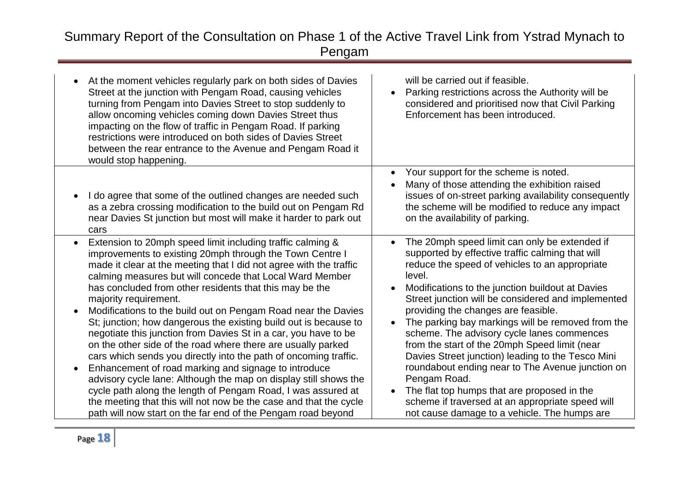| At the moment vehicles regularly park on both sides of Davies<br>Street at the junction with Pengam Road, causing vehicles<br>turning from Pengam into Davies Street to stop suddenly to<br>allow oncoming vehicles coming down Davies Street thus<br>impacting on the flow of traffic in Pengam Road. If parking<br>restrictions were introduced on both sides of Davies Street<br>between the rear entrance to the Avenue and Pengam Road it<br>would stop happening.                                                                                                                                                                                                                                                                                                                                                                                                                                                                                                                                                                | will be carried out if feasible.<br>Parking restrictions across the Authority will be<br>$\bullet$<br>considered and prioritised now that Civil Parking<br>Enforcement has been introduced.                                                                                                                                                                                                                                                                                                                                                                                                                                                                                                                                                                              |
|----------------------------------------------------------------------------------------------------------------------------------------------------------------------------------------------------------------------------------------------------------------------------------------------------------------------------------------------------------------------------------------------------------------------------------------------------------------------------------------------------------------------------------------------------------------------------------------------------------------------------------------------------------------------------------------------------------------------------------------------------------------------------------------------------------------------------------------------------------------------------------------------------------------------------------------------------------------------------------------------------------------------------------------|--------------------------------------------------------------------------------------------------------------------------------------------------------------------------------------------------------------------------------------------------------------------------------------------------------------------------------------------------------------------------------------------------------------------------------------------------------------------------------------------------------------------------------------------------------------------------------------------------------------------------------------------------------------------------------------------------------------------------------------------------------------------------|
| I do agree that some of the outlined changes are needed such<br>as a zebra crossing modification to the build out on Pengam Rd<br>near Davies St junction but most will make it harder to park out<br>cars                                                                                                                                                                                                                                                                                                                                                                                                                                                                                                                                                                                                                                                                                                                                                                                                                             | Your support for the scheme is noted.<br>$\bullet$<br>Many of those attending the exhibition raised<br>issues of on-street parking availability consequently<br>the scheme will be modified to reduce any impact<br>on the availability of parking.                                                                                                                                                                                                                                                                                                                                                                                                                                                                                                                      |
| Extension to 20mph speed limit including traffic calming &<br>$\bullet$<br>improvements to existing 20mph through the Town Centre I<br>made it clear at the meeting that I did not agree with the traffic<br>calming measures but will concede that Local Ward Member<br>has concluded from other residents that this may be the<br>majority requirement.<br>Modifications to the build out on Pengam Road near the Davies<br>St; junction; how dangerous the existing build out is because to<br>negotiate this junction from Davies St in a car, you have to be<br>on the other side of the road where there are usually parked<br>cars which sends you directly into the path of oncoming traffic.<br>Enhancement of road marking and signage to introduce<br>advisory cycle lane: Although the map on display still shows the<br>cycle path along the length of Pengam Road, I was assured at<br>the meeting that this will not now be the case and that the cycle<br>path will now start on the far end of the Pengam road beyond | The 20mph speed limit can only be extended if<br>$\bullet$<br>supported by effective traffic calming that will<br>reduce the speed of vehicles to an appropriate<br>level.<br>Modifications to the junction buildout at Davies<br>Street junction will be considered and implemented<br>providing the changes are feasible.<br>The parking bay markings will be removed from the<br>$\bullet$<br>scheme. The advisory cycle lanes commences<br>from the start of the 20mph Speed limit (near<br>Davies Street junction) leading to the Tesco Mini<br>roundabout ending near to The Avenue junction on<br>Pengam Road.<br>The flat top humps that are proposed in the<br>scheme if traversed at an appropriate speed will<br>not cause damage to a vehicle. The humps are |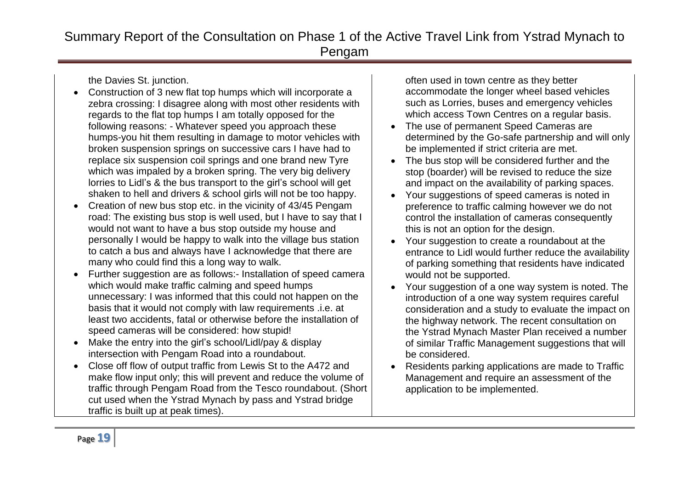the Davies St. junction.

- Construction of 3 new flat top humps which will incorporate a zebra crossing: I disagree along with most other residents with regards to the flat top humps I am totally opposed for the following reasons: - Whatever speed you approach these humps-you hit them resulting in damage to motor vehicles with broken suspension springs on successive cars I have had to replace six suspension coil springs and one brand new Tyre which was impaled by a broken spring. The very big delivery lorries to Lidl's & the bus transport to the girl's school will get shaken to hell and drivers & school girls will not be too happy.
- Creation of new bus stop etc. in the vicinity of 43/45 Pengam road: The existing bus stop is well used, but I have to say that I would not want to have a bus stop outside my house and personally I would be happy to walk into the village bus station to catch a bus and always have I acknowledge that there are many who could find this a long way to walk.
- Further suggestion are as follows:- Installation of speed camera which would make traffic calming and speed humps unnecessary: I was informed that this could not happen on the basis that it would not comply with law requirements .i.e. at least two accidents, fatal or otherwise before the installation of speed cameras will be considered: how stupid!
- Make the entry into the girl's school/Lidl/pay & display intersection with Pengam Road into a roundabout.
- Close off flow of output traffic from Lewis St to the A472 and make flow input only; this will prevent and reduce the volume of traffic through Pengam Road from the Tesco roundabout. (Short cut used when the Ystrad Mynach by pass and Ystrad bridge traffic is built up at peak times).

often used in town centre as they better accommodate the longer wheel based vehicles such as Lorries, buses and emergency vehicles which access Town Centres on a regular basis.

- The use of permanent Speed Cameras are determined by the Go-safe partnership and will only be implemented if strict criteria are met.
- The bus stop will be considered further and the stop (boarder) will be revised to reduce the size and impact on the availability of parking spaces.
- Your suggestions of speed cameras is noted in preference to traffic calming however we do not control the installation of cameras consequently this is not an option for the design.
- Your suggestion to create a roundabout at the entrance to Lidl would further reduce the availability of parking something that residents have indicated would not be supported.
- Your suggestion of a one way system is noted. The introduction of a one way system requires careful consideration and a study to evaluate the impact on the highway network. The recent consultation on the Ystrad Mynach Master Plan received a number of similar Traffic Management suggestions that will be considered.
- Residents parking applications are made to Traffic Management and require an assessment of the application to be implemented.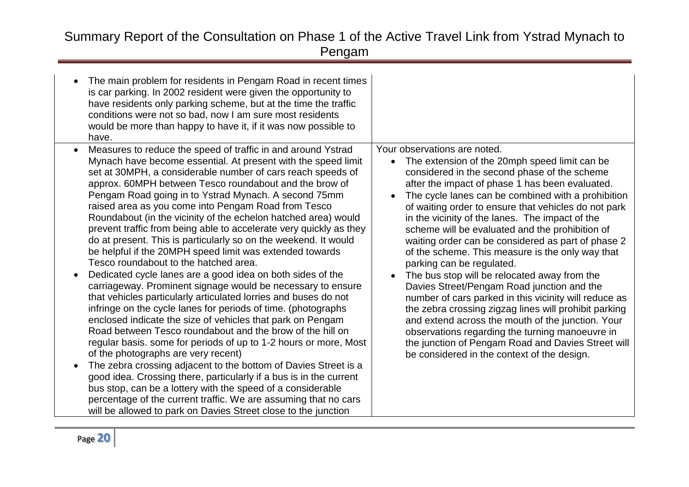| The main problem for residents in Pengam Road in recent times<br>is car parking. In 2002 resident were given the opportunity to<br>have residents only parking scheme, but at the time the traffic<br>conditions were not so bad, now I am sure most residents<br>would be more than happy to have it, if it was now possible to<br>have.                                                                                                                                                                                                                                                                                                                                                                                                                                                                                                                                                                                                                                                                                                                                                                                                                                                                                                                                                                                                                                                                                                                                                                                                 |                                                                                                                                                                                                                                                                                                                                                                                                                                                                                                                                                                                                                                                                                                                                                                                                                                                                                                                                                                          |
|-------------------------------------------------------------------------------------------------------------------------------------------------------------------------------------------------------------------------------------------------------------------------------------------------------------------------------------------------------------------------------------------------------------------------------------------------------------------------------------------------------------------------------------------------------------------------------------------------------------------------------------------------------------------------------------------------------------------------------------------------------------------------------------------------------------------------------------------------------------------------------------------------------------------------------------------------------------------------------------------------------------------------------------------------------------------------------------------------------------------------------------------------------------------------------------------------------------------------------------------------------------------------------------------------------------------------------------------------------------------------------------------------------------------------------------------------------------------------------------------------------------------------------------------|--------------------------------------------------------------------------------------------------------------------------------------------------------------------------------------------------------------------------------------------------------------------------------------------------------------------------------------------------------------------------------------------------------------------------------------------------------------------------------------------------------------------------------------------------------------------------------------------------------------------------------------------------------------------------------------------------------------------------------------------------------------------------------------------------------------------------------------------------------------------------------------------------------------------------------------------------------------------------|
| Measures to reduce the speed of traffic in and around Ystrad<br>Mynach have become essential. At present with the speed limit<br>set at 30MPH, a considerable number of cars reach speeds of<br>approx. 60MPH between Tesco roundabout and the brow of<br>Pengam Road going in to Ystrad Mynach. A second 75mm<br>raised area as you come into Pengam Road from Tesco<br>Roundabout (in the vicinity of the echelon hatched area) would<br>prevent traffic from being able to accelerate very quickly as they<br>do at present. This is particularly so on the weekend. It would<br>be helpful if the 20MPH speed limit was extended towards<br>Tesco roundabout to the hatched area.<br>Dedicated cycle lanes are a good idea on both sides of the<br>carriageway. Prominent signage would be necessary to ensure<br>that vehicles particularly articulated lorries and buses do not<br>infringe on the cycle lanes for periods of time. (photographs<br>enclosed indicate the size of vehicles that park on Pengam<br>Road between Tesco roundabout and the brow of the hill on<br>regular basis. some for periods of up to 1-2 hours or more, Most<br>of the photographs are very recent)<br>The zebra crossing adjacent to the bottom of Davies Street is a<br>good idea. Crossing there, particularly if a bus is in the current<br>bus stop, can be a lottery with the speed of a considerable<br>percentage of the current traffic. We are assuming that no cars<br>will be allowed to park on Davies Street close to the junction | Your observations are noted.<br>The extension of the 20mph speed limit can be<br>considered in the second phase of the scheme<br>after the impact of phase 1 has been evaluated.<br>The cycle lanes can be combined with a prohibition<br>of waiting order to ensure that vehicles do not park<br>in the vicinity of the lanes. The impact of the<br>scheme will be evaluated and the prohibition of<br>waiting order can be considered as part of phase 2<br>of the scheme. This measure is the only way that<br>parking can be regulated.<br>The bus stop will be relocated away from the<br>Davies Street/Pengam Road junction and the<br>number of cars parked in this vicinity will reduce as<br>the zebra crossing zigzag lines will prohibit parking<br>and extend across the mouth of the junction. Your<br>observations regarding the turning manoeuvre in<br>the junction of Pengam Road and Davies Street will<br>be considered in the context of the design. |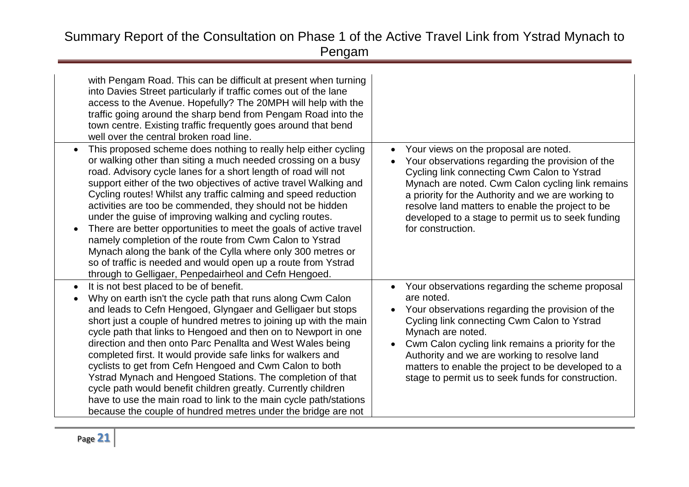| with Pengam Road. This can be difficult at present when turning<br>into Davies Street particularly if traffic comes out of the lane<br>access to the Avenue. Hopefully? The 20MPH will help with the<br>traffic going around the sharp bend from Pengam Road into the<br>town centre. Existing traffic frequently goes around that bend<br>well over the central broken road line.                                                                                                                                                                                                                                                                                                                                                                                                           |                                                                                                                                                                                                                                                                                                                                                                                                        |
|----------------------------------------------------------------------------------------------------------------------------------------------------------------------------------------------------------------------------------------------------------------------------------------------------------------------------------------------------------------------------------------------------------------------------------------------------------------------------------------------------------------------------------------------------------------------------------------------------------------------------------------------------------------------------------------------------------------------------------------------------------------------------------------------|--------------------------------------------------------------------------------------------------------------------------------------------------------------------------------------------------------------------------------------------------------------------------------------------------------------------------------------------------------------------------------------------------------|
| This proposed scheme does nothing to really help either cycling<br>or walking other than siting a much needed crossing on a busy<br>road. Advisory cycle lanes for a short length of road will not<br>support either of the two objectives of active travel Walking and<br>Cycling routes! Whilst any traffic calming and speed reduction<br>activities are too be commended, they should not be hidden<br>under the guise of improving walking and cycling routes.<br>There are better opportunities to meet the goals of active travel<br>namely completion of the route from Cwm Calon to Ystrad<br>Mynach along the bank of the Cylla where only 300 metres or<br>so of traffic is needed and would open up a route from Ystrad<br>through to Gelligaer, Penpedairheol and Cefn Hengoed. | Your views on the proposal are noted.<br>$\bullet$<br>Your observations regarding the provision of the<br>Cycling link connecting Cwm Calon to Ystrad<br>Mynach are noted. Cwm Calon cycling link remains<br>a priority for the Authority and we are working to<br>resolve land matters to enable the project to be<br>developed to a stage to permit us to seek funding<br>for construction.          |
| It is not best placed to be of benefit.<br>$\bullet$<br>Why on earth isn't the cycle path that runs along Cwm Calon<br>and leads to Cefn Hengoed, Glyngaer and Gelligaer but stops<br>short just a couple of hundred metres to joining up with the main<br>cycle path that links to Hengoed and then on to Newport in one<br>direction and then onto Parc Penallta and West Wales being<br>completed first. It would provide safe links for walkers and<br>cyclists to get from Cefn Hengoed and Cwm Calon to both<br>Ystrad Mynach and Hengoed Stations. The completion of that<br>cycle path would benefit children greatly. Currently children<br>have to use the main road to link to the main cycle path/stations<br>because the couple of hundred metres under the bridge are not      | Your observations regarding the scheme proposal<br>are noted.<br>Your observations regarding the provision of the<br>Cycling link connecting Cwm Calon to Ystrad<br>Mynach are noted.<br>Cwm Calon cycling link remains a priority for the<br>Authority and we are working to resolve land<br>matters to enable the project to be developed to a<br>stage to permit us to seek funds for construction. |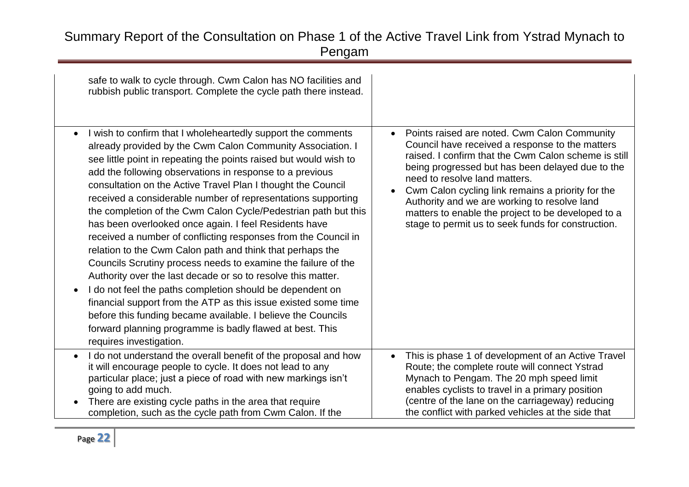| safe to walk to cycle through. Cwm Calon has NO facilities and<br>rubbish public transport. Complete the cycle path there instead.<br>I wish to confirm that I wholeheartedly support the comments<br>$\bullet$<br>already provided by the Cwm Calon Community Association. I<br>see little point in repeating the points raised but would wish to<br>add the following observations in response to a previous<br>consultation on the Active Travel Plan I thought the Council<br>received a considerable number of representations supporting<br>the completion of the Cwm Calon Cycle/Pedestrian path but this<br>has been overlooked once again. I feel Residents have<br>received a number of conflicting responses from the Council in<br>relation to the Cwm Calon path and think that perhaps the<br>Councils Scrutiny process needs to examine the failure of the<br>Authority over the last decade or so to resolve this matter.<br>I do not feel the paths completion should be dependent on<br>financial support from the ATP as this issue existed some time<br>before this funding became available. I believe the Councils<br>forward planning programme is badly flawed at best. This | Points raised are noted. Cwm Calon Community<br>$\bullet$<br>Council have received a response to the matters<br>raised. I confirm that the Cwm Calon scheme is still<br>being progressed but has been delayed due to the<br>need to resolve land matters.<br>Cwm Calon cycling link remains a priority for the<br>Authority and we are working to resolve land<br>matters to enable the project to be developed to a<br>stage to permit us to seek funds for construction. |
|------------------------------------------------------------------------------------------------------------------------------------------------------------------------------------------------------------------------------------------------------------------------------------------------------------------------------------------------------------------------------------------------------------------------------------------------------------------------------------------------------------------------------------------------------------------------------------------------------------------------------------------------------------------------------------------------------------------------------------------------------------------------------------------------------------------------------------------------------------------------------------------------------------------------------------------------------------------------------------------------------------------------------------------------------------------------------------------------------------------------------------------------------------------------------------------------------|----------------------------------------------------------------------------------------------------------------------------------------------------------------------------------------------------------------------------------------------------------------------------------------------------------------------------------------------------------------------------------------------------------------------------------------------------------------------------|
| requires investigation.<br>I do not understand the overall benefit of the proposal and how<br>$\bullet$                                                                                                                                                                                                                                                                                                                                                                                                                                                                                                                                                                                                                                                                                                                                                                                                                                                                                                                                                                                                                                                                                              | This is phase 1 of development of an Active Travel                                                                                                                                                                                                                                                                                                                                                                                                                         |
| it will encourage people to cycle. It does not lead to any<br>particular place; just a piece of road with new markings isn't<br>going to add much.<br>There are existing cycle paths in the area that require<br>completion, such as the cycle path from Cwm Calon. If the                                                                                                                                                                                                                                                                                                                                                                                                                                                                                                                                                                                                                                                                                                                                                                                                                                                                                                                           | Route; the complete route will connect Ystrad<br>Mynach to Pengam. The 20 mph speed limit<br>enables cyclists to travel in a primary position<br>(centre of the lane on the carriageway) reducing<br>the conflict with parked vehicles at the side that                                                                                                                                                                                                                    |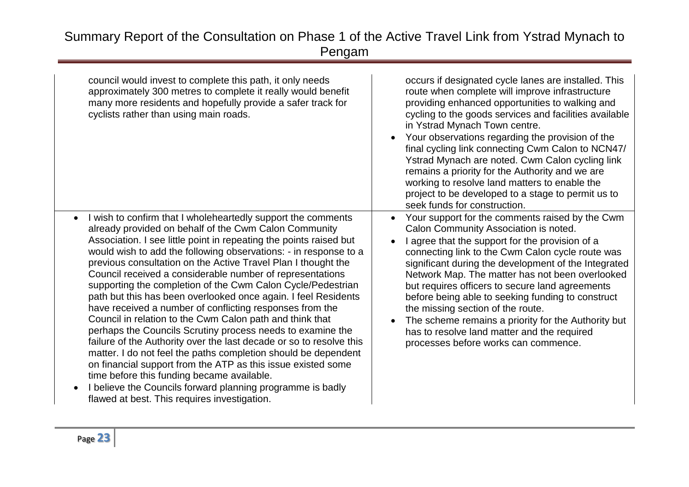| council would invest to complete this path, it only needs<br>approximately 300 metres to complete it really would benefit<br>many more residents and hopefully provide a safer track for<br>cyclists rather than using main roads.                                                                                                                                                                                                                                                                                                                                                                                                                                                                                                                                                                                                                                                                                                                                                                                                                                                                     | occurs if designated cycle lanes are installed. This<br>route when complete will improve infrastructure<br>providing enhanced opportunities to walking and<br>cycling to the goods services and facilities available<br>in Ystrad Mynach Town centre.<br>Your observations regarding the provision of the<br>final cycling link connecting Cwm Calon to NCN47/<br>Ystrad Mynach are noted. Cwm Calon cycling link<br>remains a priority for the Authority and we are<br>working to resolve land matters to enable the<br>project to be developed to a stage to permit us to<br>seek funds for construction.                     |
|--------------------------------------------------------------------------------------------------------------------------------------------------------------------------------------------------------------------------------------------------------------------------------------------------------------------------------------------------------------------------------------------------------------------------------------------------------------------------------------------------------------------------------------------------------------------------------------------------------------------------------------------------------------------------------------------------------------------------------------------------------------------------------------------------------------------------------------------------------------------------------------------------------------------------------------------------------------------------------------------------------------------------------------------------------------------------------------------------------|---------------------------------------------------------------------------------------------------------------------------------------------------------------------------------------------------------------------------------------------------------------------------------------------------------------------------------------------------------------------------------------------------------------------------------------------------------------------------------------------------------------------------------------------------------------------------------------------------------------------------------|
| I wish to confirm that I wholeheartedly support the comments<br>$\bullet$<br>already provided on behalf of the Cwm Calon Community<br>Association. I see little point in repeating the points raised but<br>would wish to add the following observations: - in response to a<br>previous consultation on the Active Travel Plan I thought the<br>Council received a considerable number of representations<br>supporting the completion of the Cwm Calon Cycle/Pedestrian<br>path but this has been overlooked once again. I feel Residents<br>have received a number of conflicting responses from the<br>Council in relation to the Cwm Calon path and think that<br>perhaps the Councils Scrutiny process needs to examine the<br>failure of the Authority over the last decade or so to resolve this<br>matter. I do not feel the paths completion should be dependent<br>on financial support from the ATP as this issue existed some<br>time before this funding became available.<br>I believe the Councils forward planning programme is badly<br>flawed at best. This requires investigation. | Your support for the comments raised by the Cwm<br>$\bullet$<br>Calon Community Association is noted.<br>I agree that the support for the provision of a<br>connecting link to the Cwm Calon cycle route was<br>significant during the development of the Integrated<br>Network Map. The matter has not been overlooked<br>but requires officers to secure land agreements<br>before being able to seeking funding to construct<br>the missing section of the route.<br>The scheme remains a priority for the Authority but<br>$\bullet$<br>has to resolve land matter and the required<br>processes before works can commence. |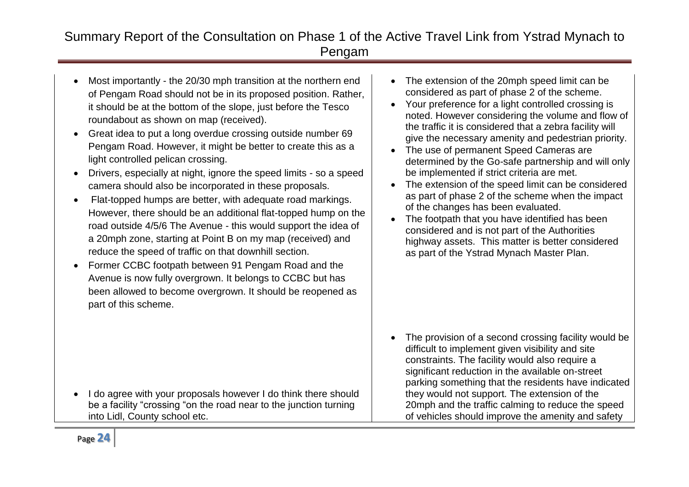- Most importantly the 20/30 mph transition at the northern end of Pengam Road should not be in its proposed position. Rather, it should be at the bottom of the slope, just before the Tesco roundabout as shown on map (received).
- Great idea to put a long overdue crossing outside number 69 Pengam Road. However, it might be better to create this as a light controlled pelican crossing.
- Drivers, especially at night, ignore the speed limits so a speed camera should also be incorporated in these proposals.
- Flat-topped humps are better, with adequate road markings. However, there should be an additional flat-topped hump on the road outside 4/5/6 The Avenue - this would support the idea of a 20mph zone, starting at Point B on my map (received) and reduce the speed of traffic on that downhill section.
- Former CCBC footpath between 91 Pengam Road and the Avenue is now fully overgrown. It belongs to CCBC but has been allowed to become overgrown. It should be reopened as part of this scheme.

I do agree with your proposals however I do think there should be a facility "crossing "on the road near to the junction turning into Lidl, County school etc.

- The extension of the 20mph speed limit can be considered as part of phase 2 of the scheme.
- Your preference for a light controlled crossing is noted. However considering the volume and flow of the traffic it is considered that a zebra facility will give the necessary amenity and pedestrian priority.
- The use of permanent Speed Cameras are determined by the Go-safe partnership and will only be implemented if strict criteria are met.
- The extension of the speed limit can be considered as part of phase 2 of the scheme when the impact of the changes has been evaluated.
- The footpath that you have identified has been considered and is not part of the Authorities highway assets. This matter is better considered as part of the Ystrad Mynach Master Plan.

• The provision of a second crossing facility would be difficult to implement given visibility and site constraints. The facility would also require a significant reduction in the available on-street parking something that the residents have indicated they would not support. The extension of the 20mph and the traffic calming to reduce the speed of vehicles should improve the amenity and safety